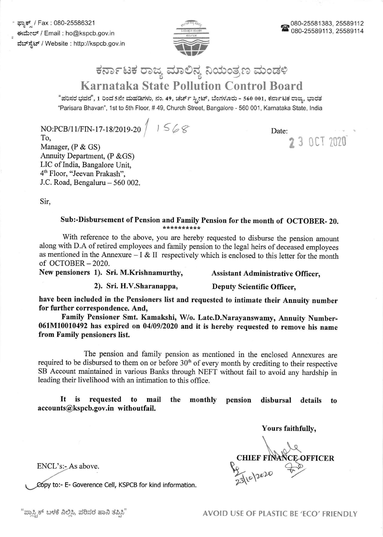ಫ್ಯಾಕ್ಸ್ / Fax : 080-25586321 ಕಃಮೇಲ್ / Email : ho@kspcb.gov.in ವೆಬ್ ಸ್ಪೆಟ್ / Website : http://kspcb.gov.in



2 3 OCT 2020

## ಕರ್ನಾಟಕ ರಾಜ್ಯ ಮಾಲಿನ್ಯ ನಿಯಂತ್ರಣ ಮಂಡಳಿ Karnataka State Pollution Control Board

"ಪರಿಸರ ಭವನ", 1 ರಿಂದ 5ನೇ ಮಹಡಿಗಳು, ನಂ. 49, ಚರ್ಚ್ ಸ್ಪೀಟ್, ಬೆಂಗಳೂರು - 560 001, ಕರ್ನಾಟಕ ರಾಜ್ಯ, ಭಾರತ 'Parisara Bhavan", 1st to sth Floor, # 49, Church Street, Bangalore - 560 001, Karnataka State, lndia

NO:PCB/11/FIN-17-18/2019-20  $\left/ \left. \begin{array}{l} 1 \leq \mathcal{L} \ \mathscr{L} \end{array} \right.$ 

To, Manager, (P & GS) Annuity Department, (P &GS) LIC of India, Bangalore Unit, 4m Floor, 'Teevan Prakash", J.C. Road, Bengaluru - 560 002.

Sir,

## Sub:-Disbursement of Pension and Family Pension for the month of OCTOBER- 20.

with reference to the above, you are hereby requested to disburse the pension amount along with D.A of retired employees and family pension to the legal heirs of deceased employees as mentioned in the Annexure  $- I & II$  respectively which is enclosed to this letter for the month of OCTOBER-2020.

New pensioners 1). Sri. M.Krishnamurthy, Assistant Administrative Officer,

Date:

2). Sri. H,V.Sharanappa, Deputy Scientific Officer,

have been included in the Pensioners list and requested to intimate their Annuity number for further correspondence. And,

Family Pensioner Smt. Kamakshi, W/o. Late.D.Narayanswamy, Annuity Number-061M10010492 has expired on 04/09/2020 and it is hereby requested to remove his name from Family pensioners list.

The pension and family pension as mentioned in the enclosed Annexures are required to be disbursed to them on or before  $30<sup>th</sup>$  of every month by crediting to their respective SB Account maintained in various Banks through NEFT without fail to avoid any hardship in leading their livelihood with an intimation to this office.

It is requested to mail the monthly pension disbursal details to accounts@kspcb.gov.in withoutfail.

Yours faithfully,

CHIEF FINANCE OFFICER

ENCL's:- As above.

 $\rho$  to:- E- Goverence Cell, KSPCB for kind information.